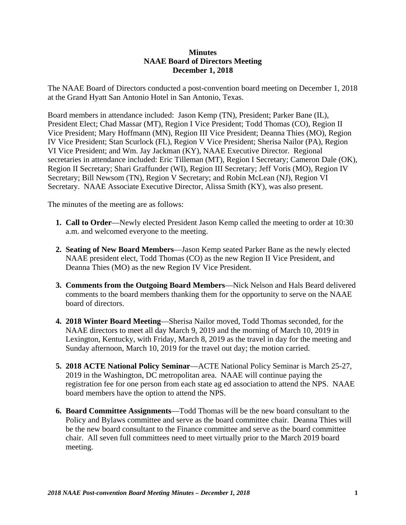## **Minutes NAAE Board of Directors Meeting December 1, 2018**

The NAAE Board of Directors conducted a post-convention board meeting on December 1, 2018 at the Grand Hyatt San Antonio Hotel in San Antonio, Texas.

Board members in attendance included: Jason Kemp (TN), President; Parker Bane (IL), President Elect; Chad Massar (MT), Region I Vice President; Todd Thomas (CO), Region II Vice President; Mary Hoffmann (MN), Region III Vice President; Deanna Thies (MO), Region IV Vice President; Stan Scurlock (FL), Region V Vice President; Sherisa Nailor (PA), Region VI Vice President; and Wm. Jay Jackman (KY), NAAE Executive Director. Regional secretaries in attendance included: Eric Tilleman (MT), Region I Secretary; Cameron Dale (OK), Region II Secretary; Shari Graffunder (WI), Region III Secretary; Jeff Voris (MO), Region IV Secretary; Bill Newsom (TN), Region V Secretary; and Robin McLean (NJ), Region VI Secretary. NAAE Associate Executive Director, Alissa Smith (KY), was also present.

The minutes of the meeting are as follows:

- **1. Call to Order**—Newly elected President Jason Kemp called the meeting to order at 10:30 a.m. and welcomed everyone to the meeting.
- **2. Seating of New Board Members**—Jason Kemp seated Parker Bane as the newly elected NAAE president elect, Todd Thomas (CO) as the new Region II Vice President, and Deanna Thies (MO) as the new Region IV Vice President.
- **3. Comments from the Outgoing Board Members**—Nick Nelson and Hals Beard delivered comments to the board members thanking them for the opportunity to serve on the NAAE board of directors.
- **4. 2018 Winter Board Meeting**—Sherisa Nailor moved, Todd Thomas seconded, for the NAAE directors to meet all day March 9, 2019 and the morning of March 10, 2019 in Lexington, Kentucky, with Friday, March 8, 2019 as the travel in day for the meeting and Sunday afternoon, March 10, 2019 for the travel out day; the motion carried.
- **5. 2018 ACTE National Policy Seminar**—ACTE National Policy Seminar is March 25-27, 2019 in the Washington, DC metropolitan area. NAAE will continue paying the registration fee for one person from each state ag ed association to attend the NPS. NAAE board members have the option to attend the NPS.
- **6. Board Committee Assignments**—Todd Thomas will be the new board consultant to the Policy and Bylaws committee and serve as the board committee chair. Deanna Thies will be the new board consultant to the Finance committee and serve as the board committee chair. All seven full committees need to meet virtually prior to the March 2019 board meeting.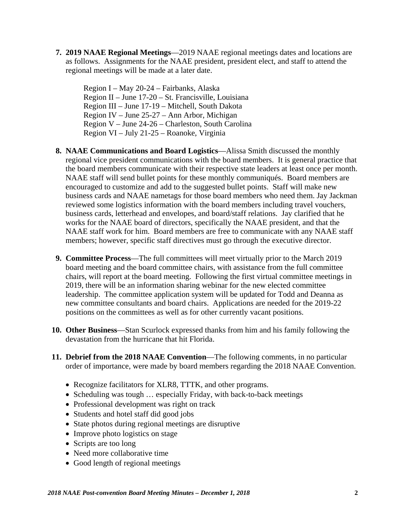**7. 2019 NAAE Regional Meetings**—2019 NAAE regional meetings dates and locations are as follows. Assignments for the NAAE president, president elect, and staff to attend the regional meetings will be made at a later date.

Region I – May 20-24 – Fairbanks, Alaska Region II – June 17-20 – St. Francisville, Louisiana Region III – June 17-19 – Mitchell, South Dakota Region IV – June 25-27 – Ann Arbor, Michigan Region V – June 24-26 – Charleston, South Carolina Region VI – July 21-25 – Roanoke, Virginia

- **8. NAAE Communications and Board Logistics**—Alissa Smith discussed the monthly regional vice president communications with the board members. It is general practice that the board members communicate with their respective state leaders at least once per month. NAAE staff will send bullet points for these monthly communiqués. Board members are encouraged to customize and add to the suggested bullet points. Staff will make new business cards and NAAE nametags for those board members who need them. Jay Jackman reviewed some logistics information with the board members including travel vouchers, business cards, letterhead and envelopes, and board/staff relations. Jay clarified that he works for the NAAE board of directors, specifically the NAAE president, and that the NAAE staff work for him. Board members are free to communicate with any NAAE staff members; however, specific staff directives must go through the executive director.
- **9. Committee Process**—The full committees will meet virtually prior to the March 2019 board meeting and the board committee chairs, with assistance from the full committee chairs, will report at the board meeting. Following the first virtual committee meetings in 2019, there will be an information sharing webinar for the new elected committee leadership. The committee application system will be updated for Todd and Deanna as new committee consultants and board chairs. Applications are needed for the 2019-22 positions on the committees as well as for other currently vacant positions.
- **10. Other Business**—Stan Scurlock expressed thanks from him and his family following the devastation from the hurricane that hit Florida.
- **11. Debrief from the 2018 NAAE Convention**—The following comments, in no particular order of importance, were made by board members regarding the 2018 NAAE Convention.
	- Recognize facilitators for XLR8, TTTK, and other programs.
	- Scheduling was tough ... especially Friday, with back-to-back meetings
	- Professional development was right on track
	- Students and hotel staff did good jobs
	- State photos during regional meetings are disruptive
	- Improve photo logistics on stage
	- Scripts are too long
	- Need more collaborative time
	- Good length of regional meetings